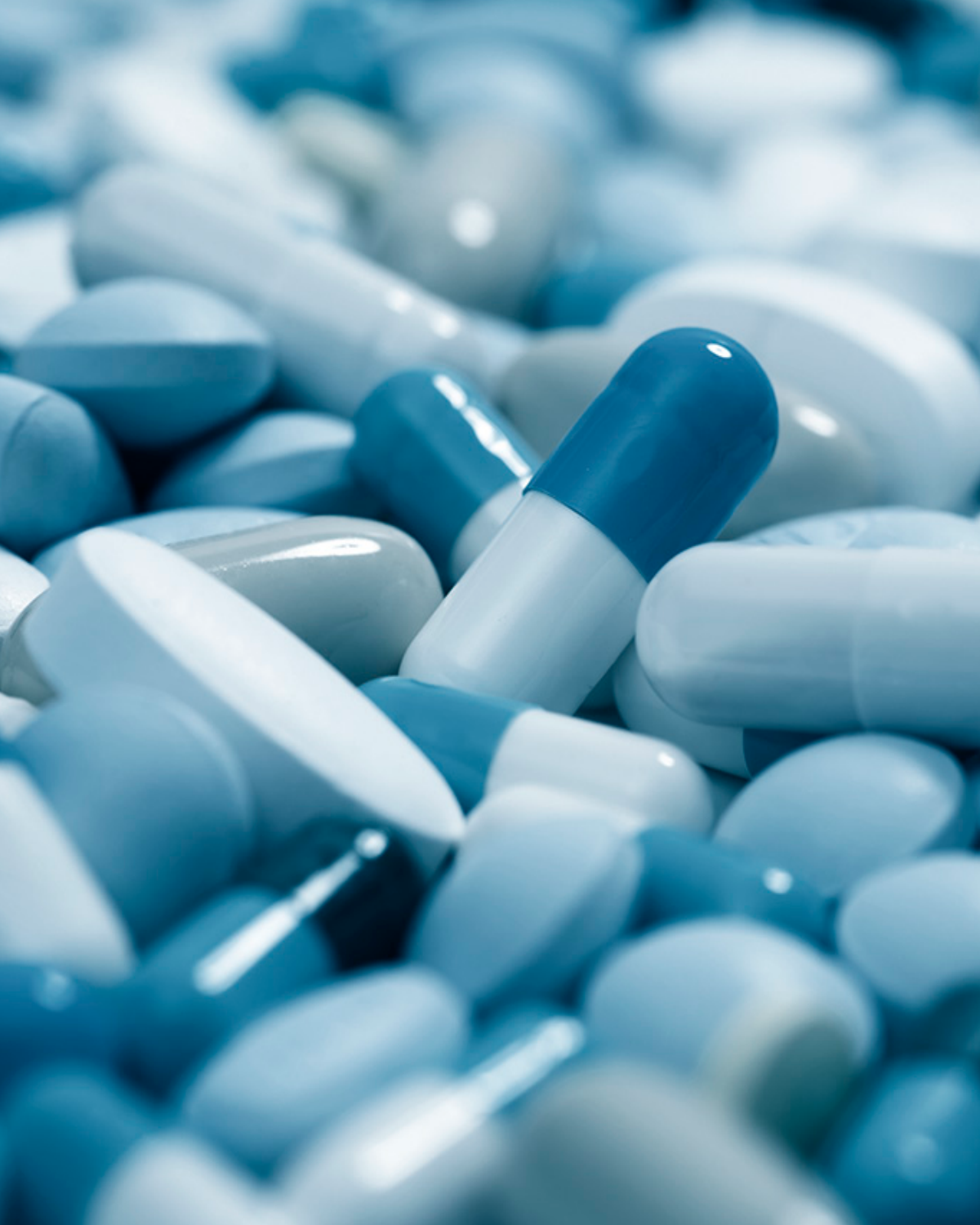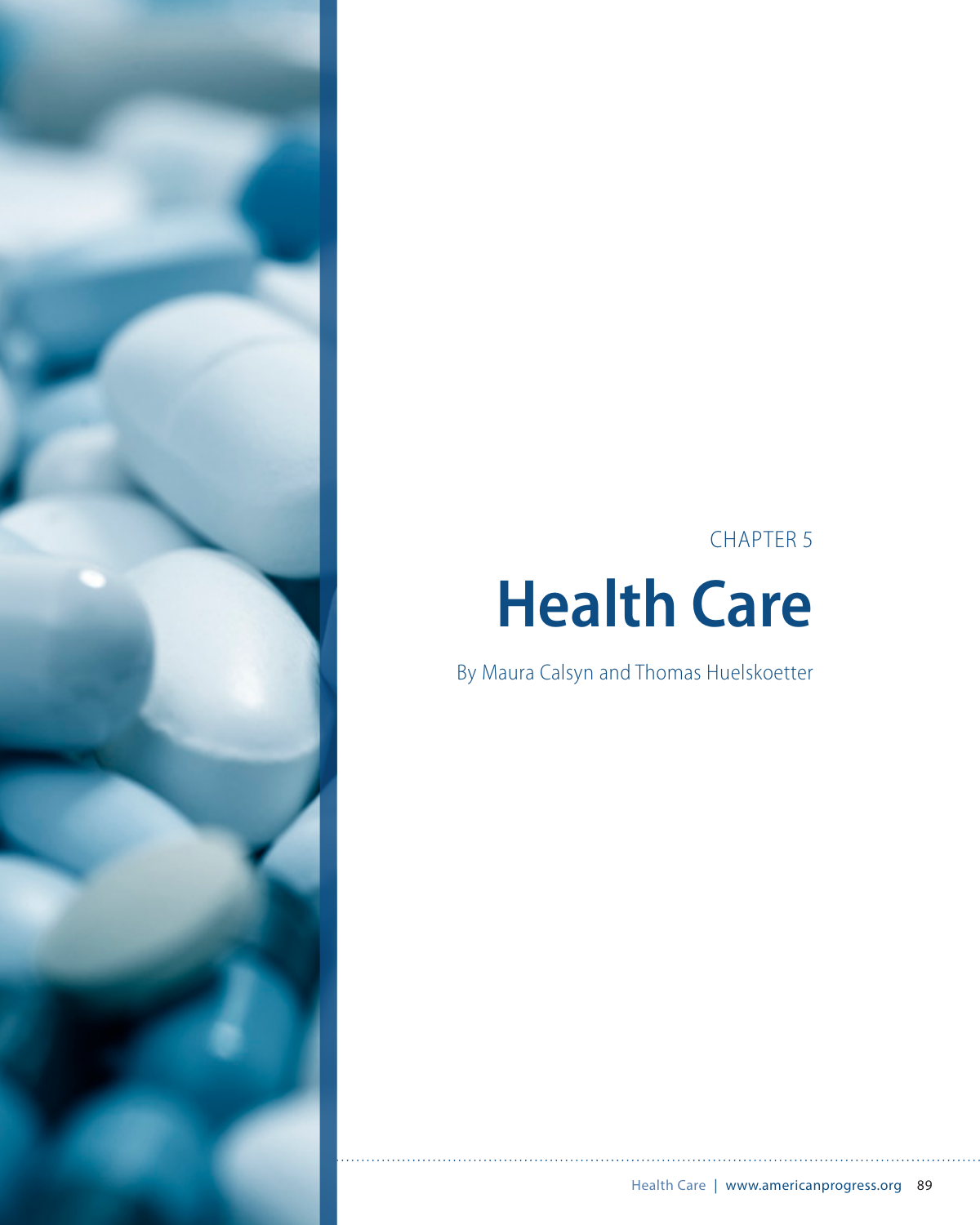CHAPTER 5

# **Health Care**

By Maura Calsyn and Thomas Huelskoetter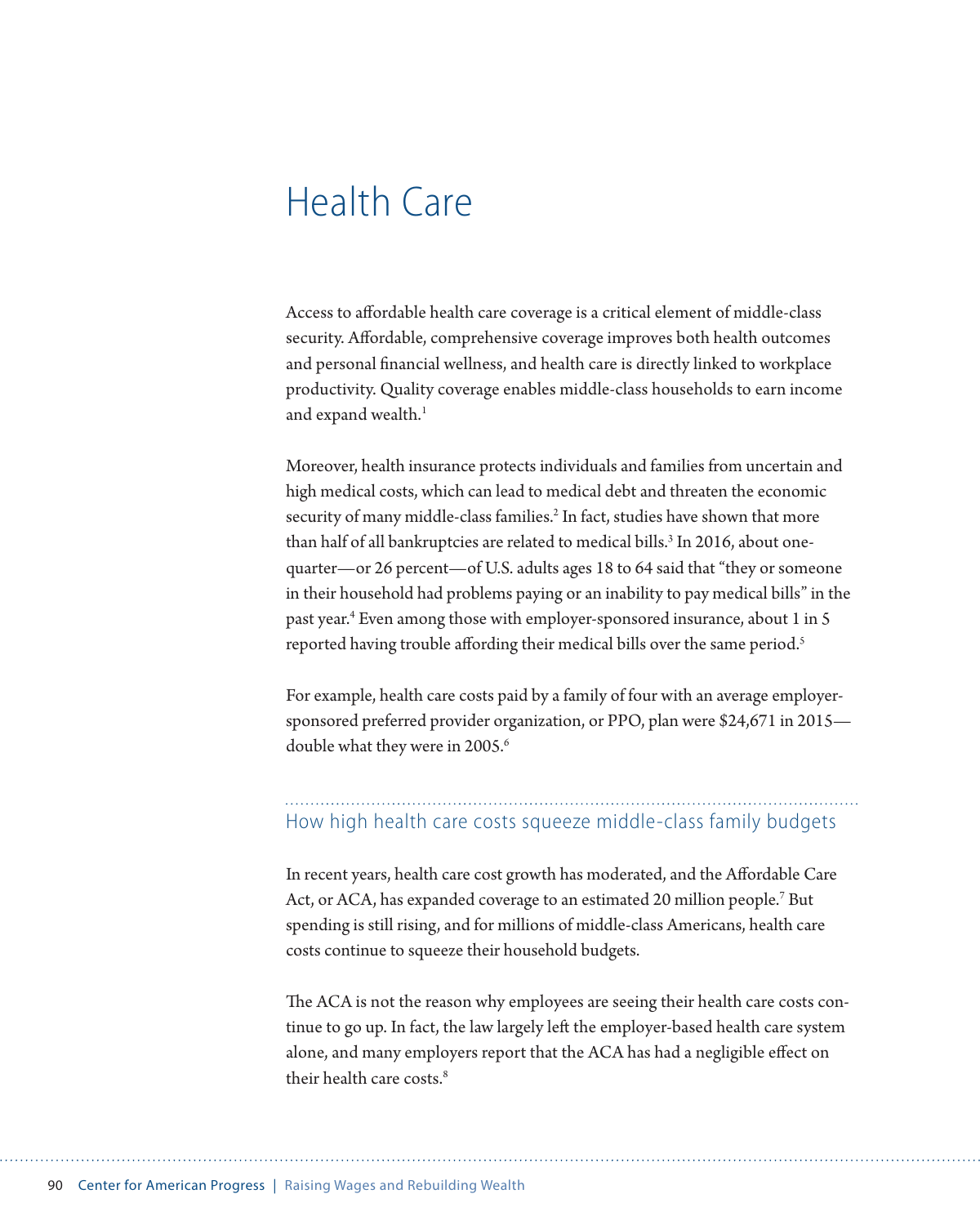## Health Care

Access to affordable health care coverage is a critical element of middle-class security. Affordable, comprehensive coverage improves both health outcomes and personal financial wellness, and health care is directly linked to workplace productivity. Quality coverage enables middle-class households to earn income and expand wealth. $^{\rm 1}$ 

Moreover, health insurance protects individuals and families from uncertain and high medical costs, which can lead to medical debt and threaten the economic security of many middle-class families.<sup>2</sup> In fact, studies have shown that more than half of all bankruptcies are related to medical bills.<sup>3</sup> In 2016, about onequarter—or 26 percent—of U.S. adults ages 18 to 64 said that "they or someone in their household had problems paying or an inability to pay medical bills" in the past year.4 Even among those with employer-sponsored insurance, about 1 in 5 reported having trouble affording their medical bills over the same period.<sup>5</sup>

For example, health care costs paid by a family of four with an average employersponsored preferred provider organization, or PPO, plan were \$24,671 in 2015 double what they were in 2005.<sup>6</sup>

### How high health care costs squeeze middle-class family budgets

In recent years, health care cost growth has moderated, and the Affordable Care Act, or ACA, has expanded coverage to an estimated 20 million people.<sup>7</sup> But spending is still rising, and for millions of middle-class Americans, health care costs continue to squeeze their household budgets.

The ACA is not the reason why employees are seeing their health care costs continue to go up. In fact, the law largely left the employer-based health care system alone, and many employers report that the ACA has had a negligible effect on their health care costs.<sup>8</sup>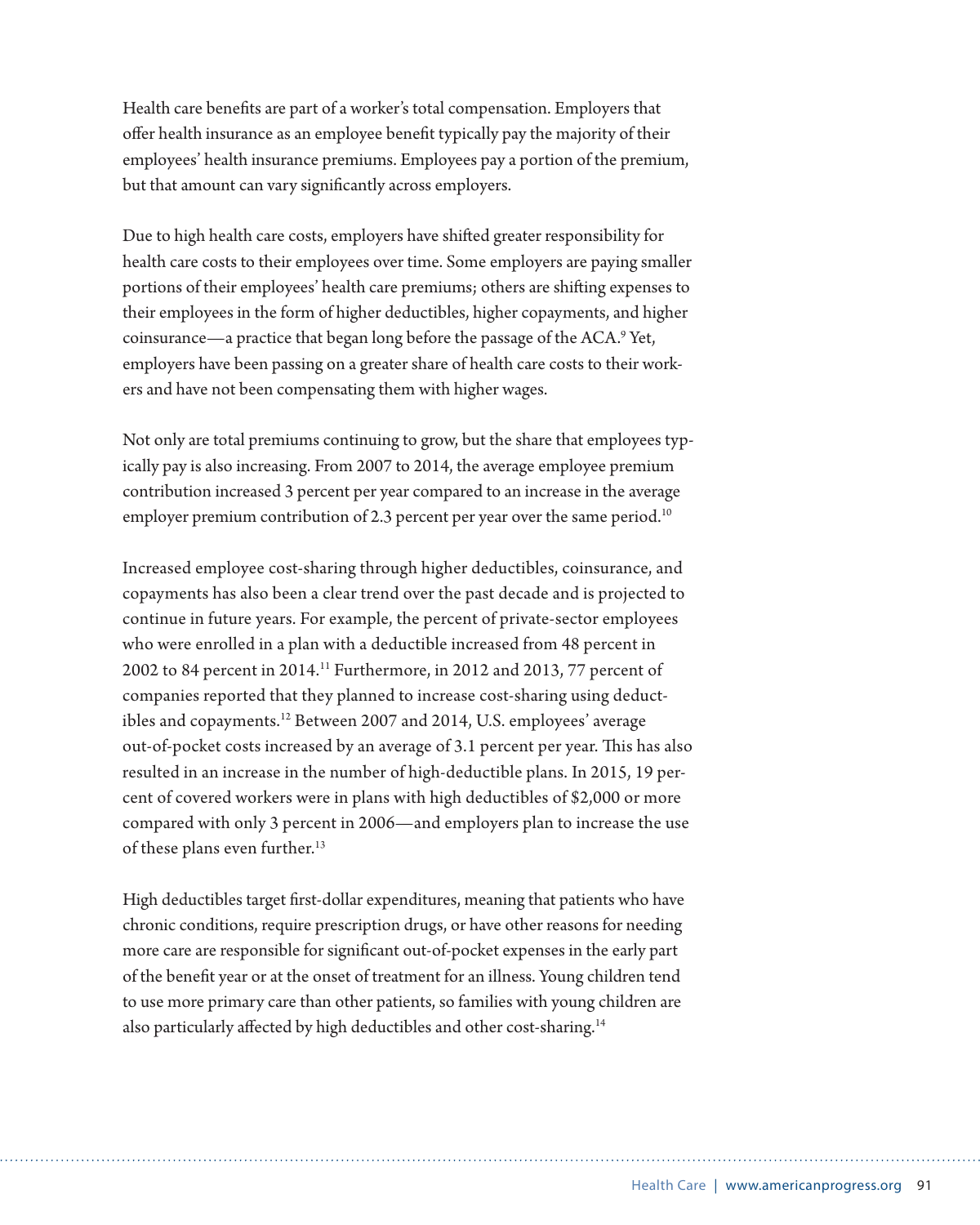Health care benefits are part of a worker's total compensation. Employers that offer health insurance as an employee benefit typically pay the majority of their employees' health insurance premiums. Employees pay a portion of the premium, but that amount can vary significantly across employers.

Due to high health care costs, employers have shifted greater responsibility for health care costs to their employees over time. Some employers are paying smaller portions of their employees' health care premiums; others are shifting expenses to their employees in the form of higher deductibles, higher copayments, and higher coinsurance—a practice that began long before the passage of the ACA.<sup>9</sup> Yet, employers have been passing on a greater share of health care costs to their workers and have not been compensating them with higher wages.

Not only are total premiums continuing to grow, but the share that employees typically pay is also increasing. From 2007 to 2014, the average employee premium contribution increased 3 percent per year compared to an increase in the average employer premium contribution of 2.3 percent per year over the same period.<sup>10</sup>

Increased employee cost-sharing through higher deductibles, coinsurance, and copayments has also been a clear trend over the past decade and is projected to continue in future years. For example, the percent of private-sector employees who were enrolled in a plan with a deductible increased from 48 percent in 2002 to 84 percent in 2014.11 Furthermore, in 2012 and 2013, 77 percent of companies reported that they planned to increase cost-sharing using deductibles and copayments.12 Between 2007 and 2014, U.S. employees' average out-of-pocket costs increased by an average of 3.1 percent per year. This has also resulted in an increase in the number of high-deductible plans. In 2015, 19 percent of covered workers were in plans with high deductibles of \$2,000 or more compared with only 3 percent in 2006—and employers plan to increase the use of these plans even further.<sup>13</sup>

High deductibles target first-dollar expenditures, meaning that patients who have chronic conditions, require prescription drugs, or have other reasons for needing more care are responsible for significant out-of-pocket expenses in the early part of the benefit year or at the onset of treatment for an illness. Young children tend to use more primary care than other patients, so families with young children are also particularly affected by high deductibles and other cost-sharing.<sup>14</sup>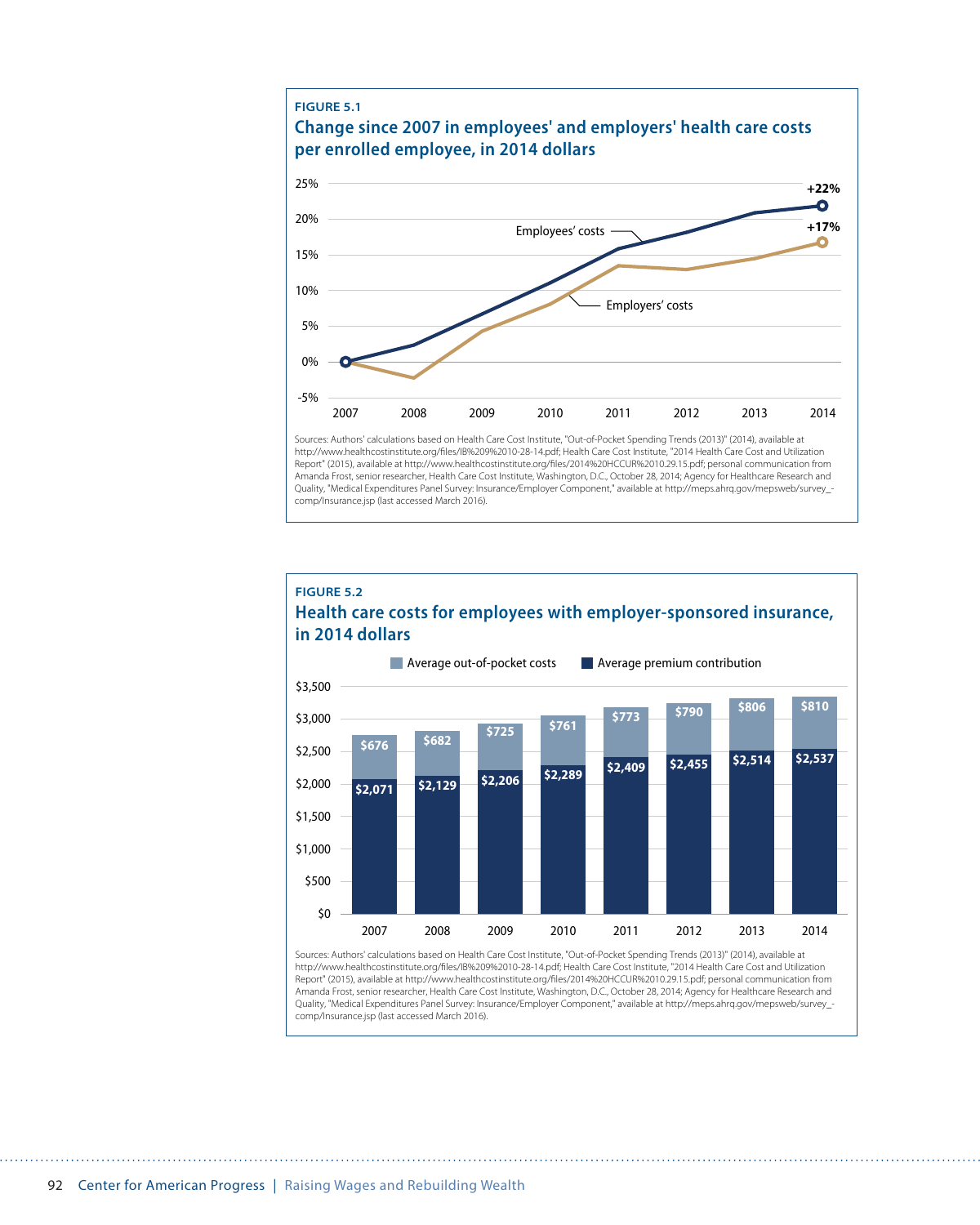#### **FIGURE 5.1**

**Change since 2007 in employees' and employers' health care costs per enrolled employee, in 2014 dollars**



http://www.healthcostinstitute.org/les/IB%209%2010-28-14.pdf; Health Care Cost Institute, "2014 Health Care Cost and Utilization Report" (2015), available at http://www.healthcostinstitute.org/les/2014%20HCCUR%2010.29.15.pdf; personal communication from Amanda Frost, senior researcher, Health Care Cost Institute, Washington, D.C., October 28, 2014; Agency for Healthcare Research and Quality, "Medical Expenditures Panel Survey: Insurance/Employer Component," available at http://meps.ahrq.gov/mepsweb/survey\_ comp/Insurance.jsp (last accessed March 2016).



#### **FIGURE 5.2 Health care costs for employees with employer-sponsored insurance, in 2014 dollars**

Sources: Authors' calculations based on Health Care Cost Institute, "Out-of-Pocket Spending Trends (2013)" (2014), available at http://www.healthcostinstitute.org/les/IB%209%2010-28-14.pdf; Health Care Cost Institute, "2014 Health Care Cost and Utilization Report" (2015), available at http://www.healthcostinstitute.org/files/2014%20HCCUR%2010.29.15.pdf; personal communication from Amanda Frost, senior researcher, Health Care Cost Institute, Washington, D.C., October 28, 2014; Agency for Healthcare Research and Quality, "Medical Expenditures Panel Survey: Insurance/Employer Component," available at http://meps.ahrq.gov/mepsweb/survey\_ comp/Insurance.jsp (last accessed March 2016).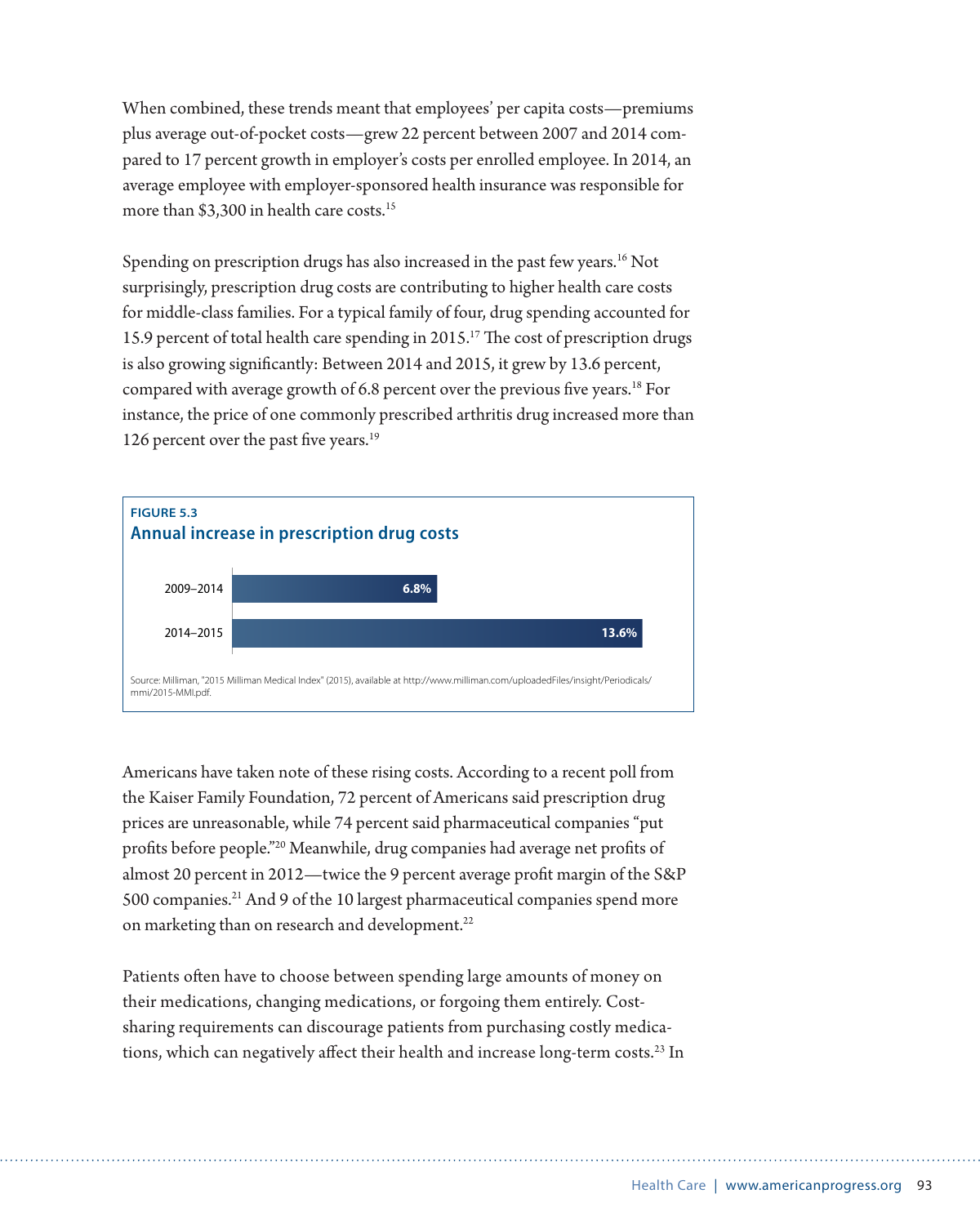When combined, these trends meant that employees' per capita costs—premiums plus average out-of-pocket costs—grew 22 percent between 2007 and 2014 compared to 17 percent growth in employer's costs per enrolled employee. In 2014, an average employee with employer-sponsored health insurance was responsible for more than \$3,300 in health care costs.<sup>15</sup>

Spending on prescription drugs has also increased in the past few years.<sup>16</sup> Not surprisingly, prescription drug costs are contributing to higher health care costs for middle-class families. For a typical family of four, drug spending accounted for 15.9 percent of total health care spending in 2015.17 The cost of prescription drugs is also growing significantly: Between 2014 and 2015, it grew by 13.6 percent, compared with average growth of 6.8 percent over the previous five years.<sup>18</sup> For instance, the price of one commonly prescribed arthritis drug increased more than 126 percent over the past five years.<sup>19</sup>



Americans have taken note of these rising costs. According to a recent poll from the Kaiser Family Foundation, 72 percent of Americans said prescription drug prices are unreasonable, while 74 percent said pharmaceutical companies "put profits before people."20 Meanwhile, drug companies had average net profits of almost 20 percent in 2012—twice the 9 percent average profit margin of the S&P 500 companies.21 And 9 of the 10 largest pharmaceutical companies spend more on marketing than on research and development.<sup>22</sup>

Patients often have to choose between spending large amounts of money on their medications, changing medications, or forgoing them entirely. Costsharing requirements can discourage patients from purchasing costly medications, which can negatively affect their health and increase long-term costs.<sup>23</sup> In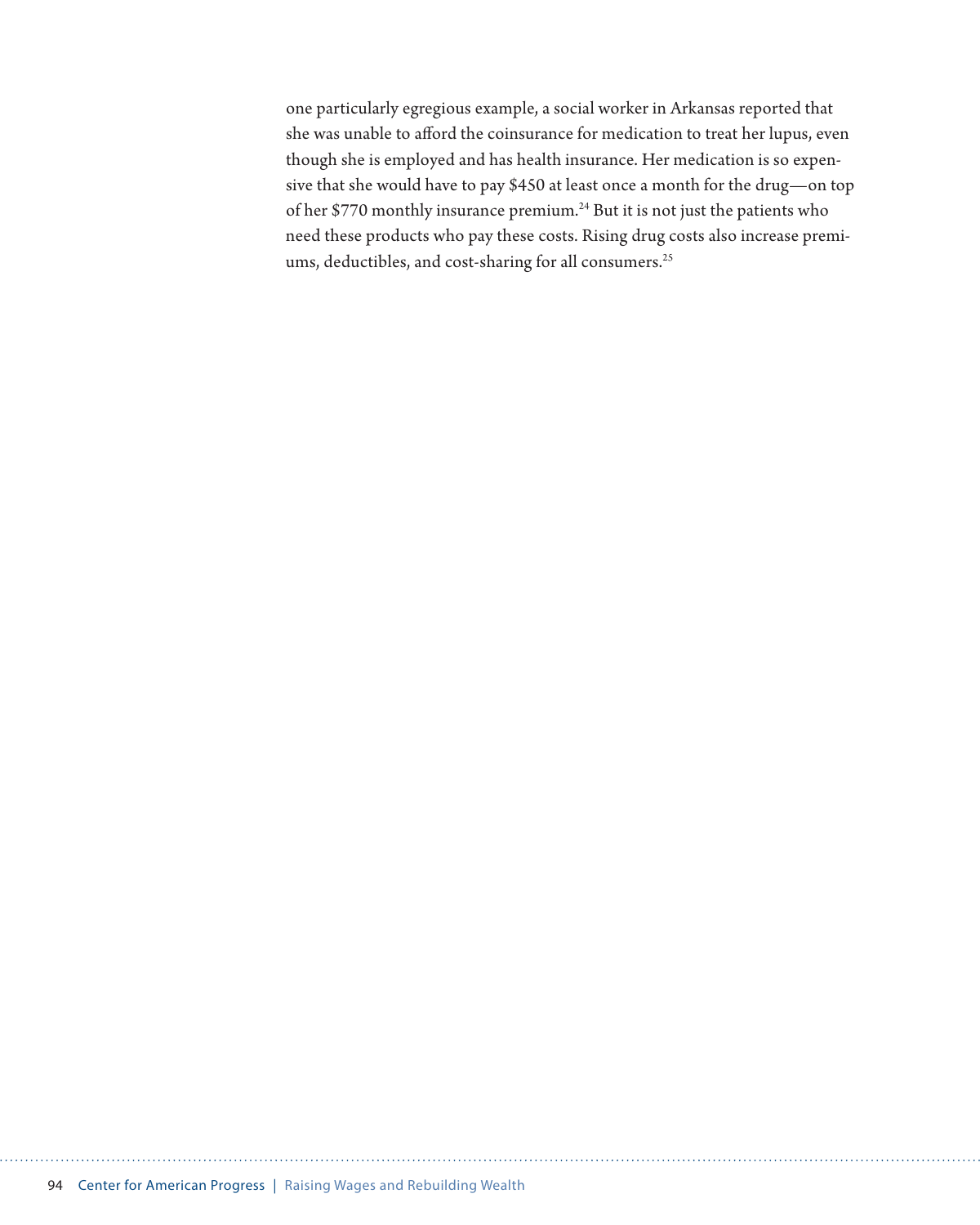one particularly egregious example, a social worker in Arkansas reported that she was unable to afford the coinsurance for medication to treat her lupus, even though she is employed and has health insurance. Her medication is so expensive that she would have to pay \$450 at least once a month for the drug—on top of her \$770 monthly insurance premium.<sup>24</sup> But it is not just the patients who need these products who pay these costs. Rising drug costs also increase premiums, deductibles, and cost-sharing for all consumers.<sup>25</sup>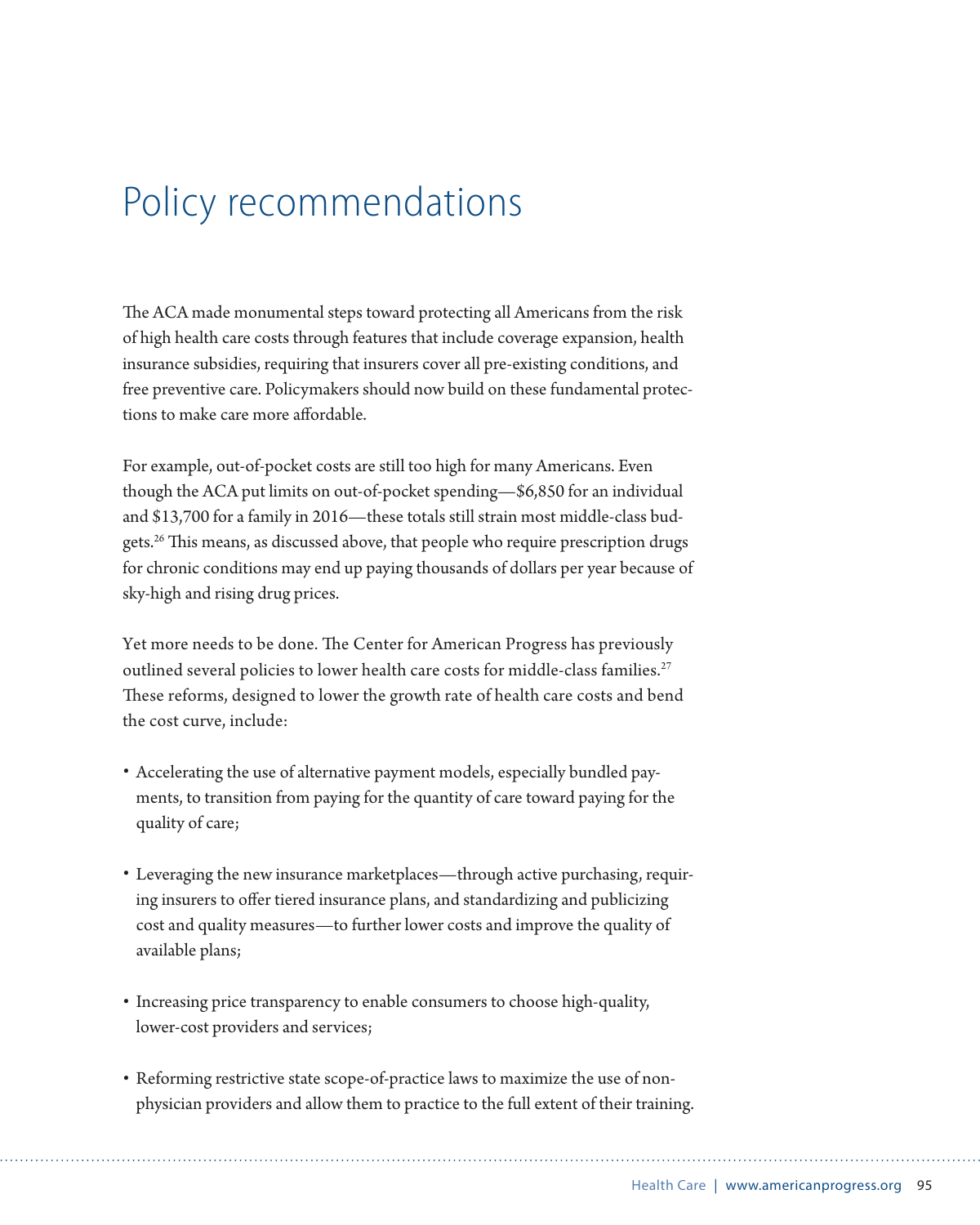# Policy recommendations

The ACA made monumental steps toward protecting all Americans from the risk of high health care costs through features that include coverage expansion, health insurance subsidies, requiring that insurers cover all pre-existing conditions, and free preventive care. Policymakers should now build on these fundamental protections to make care more affordable.

For example, out-of-pocket costs are still too high for many Americans. Even though the ACA put limits on out-of-pocket spending—\$6,850 for an individual and \$13,700 for a family in 2016—these totals still strain most middle-class budgets.26 This means, as discussed above, that people who require prescription drugs for chronic conditions may end up paying thousands of dollars per year because of sky-high and rising drug prices.

Yet more needs to be done. The Center for American Progress has previously outlined several policies to lower health care costs for middle-class families.<sup>27</sup> These reforms, designed to lower the growth rate of health care costs and bend the cost curve, include:

- Accelerating the use of alternative payment models, especially bundled payments, to transition from paying for the quantity of care toward paying for the quality of care;
- Leveraging the new insurance marketplaces—through active purchasing, requiring insurers to offer tiered insurance plans, and standardizing and publicizing cost and quality measures—to further lower costs and improve the quality of available plans;
- Increasing price transparency to enable consumers to choose high-quality, lower-cost providers and services;
- Reforming restrictive state scope-of-practice laws to maximize the use of nonphysician providers and allow them to practice to the full extent of their training.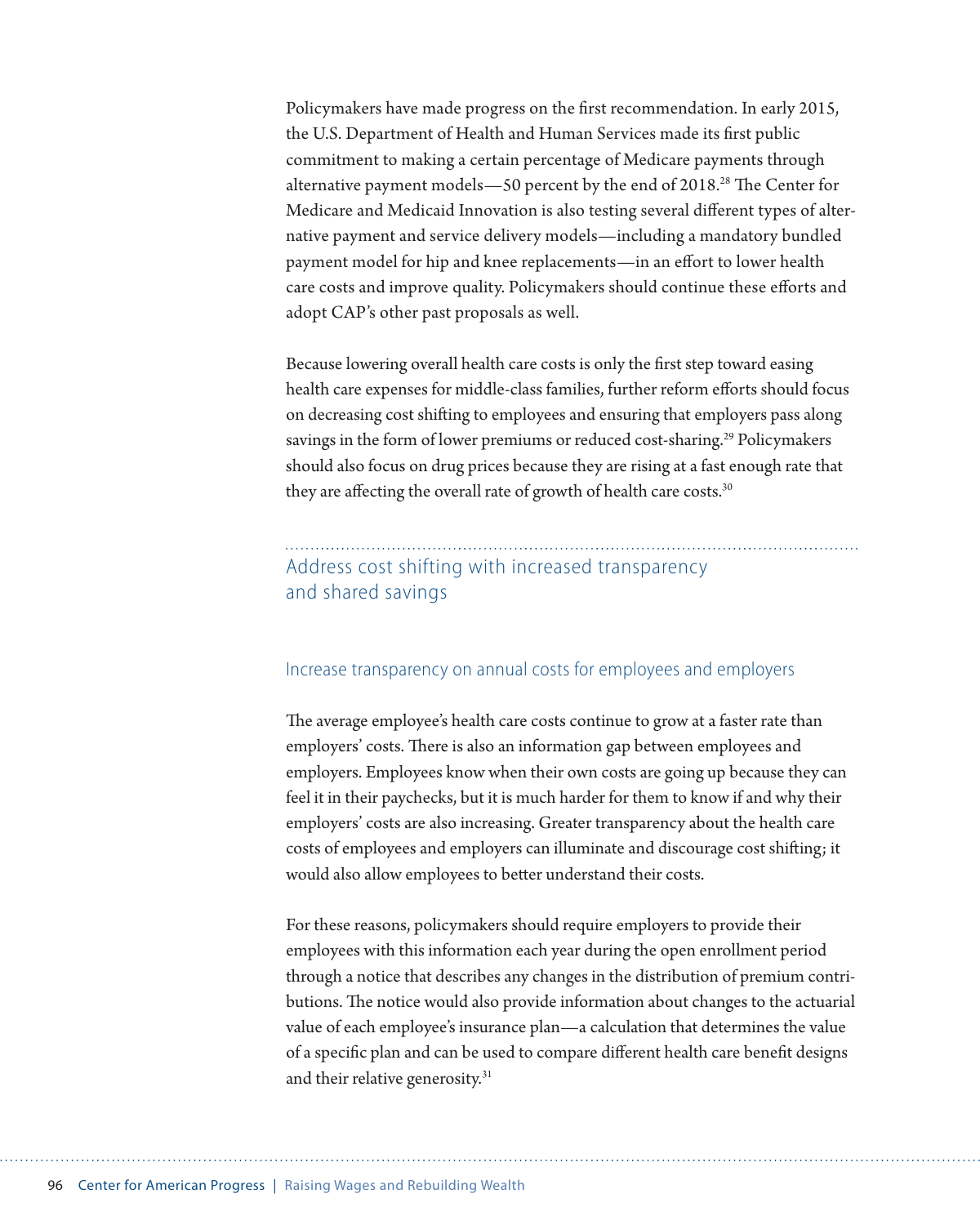Policymakers have made progress on the first recommendation. In early 2015, the U.S. Department of Health and Human Services made its first public commitment to making a certain percentage of Medicare payments through alternative payment models—50 percent by the end of 2018.<sup>28</sup> The Center for Medicare and Medicaid Innovation is also testing several different types of alternative payment and service delivery models—including a mandatory bundled payment model for hip and knee replacements—in an effort to lower health care costs and improve quality. Policymakers should continue these efforts and adopt CAP's other past proposals as well.

Because lowering overall health care costs is only the first step toward easing health care expenses for middle-class families, further reform efforts should focus on decreasing cost shifting to employees and ensuring that employers pass along savings in the form of lower premiums or reduced cost-sharing.<sup>29</sup> Policymakers should also focus on drug prices because they are rising at a fast enough rate that they are affecting the overall rate of growth of health care costs.<sup>30</sup>

### Address cost shifting with increased transparency and shared savings

#### Increase transparency on annual costs for employees and employers

The average employee's health care costs continue to grow at a faster rate than employers' costs. There is also an information gap between employees and employers. Employees know when their own costs are going up because they can feel it in their paychecks, but it is much harder for them to know if and why their employers' costs are also increasing. Greater transparency about the health care costs of employees and employers can illuminate and discourage cost shifting; it would also allow employees to better understand their costs.

For these reasons, policymakers should require employers to provide their employees with this information each year during the open enrollment period through a notice that describes any changes in the distribution of premium contributions. The notice would also provide information about changes to the actuarial value of each employee's insurance plan—a calculation that determines the value of a specific plan and can be used to compare different health care benefit designs and their relative generosity.<sup>31</sup>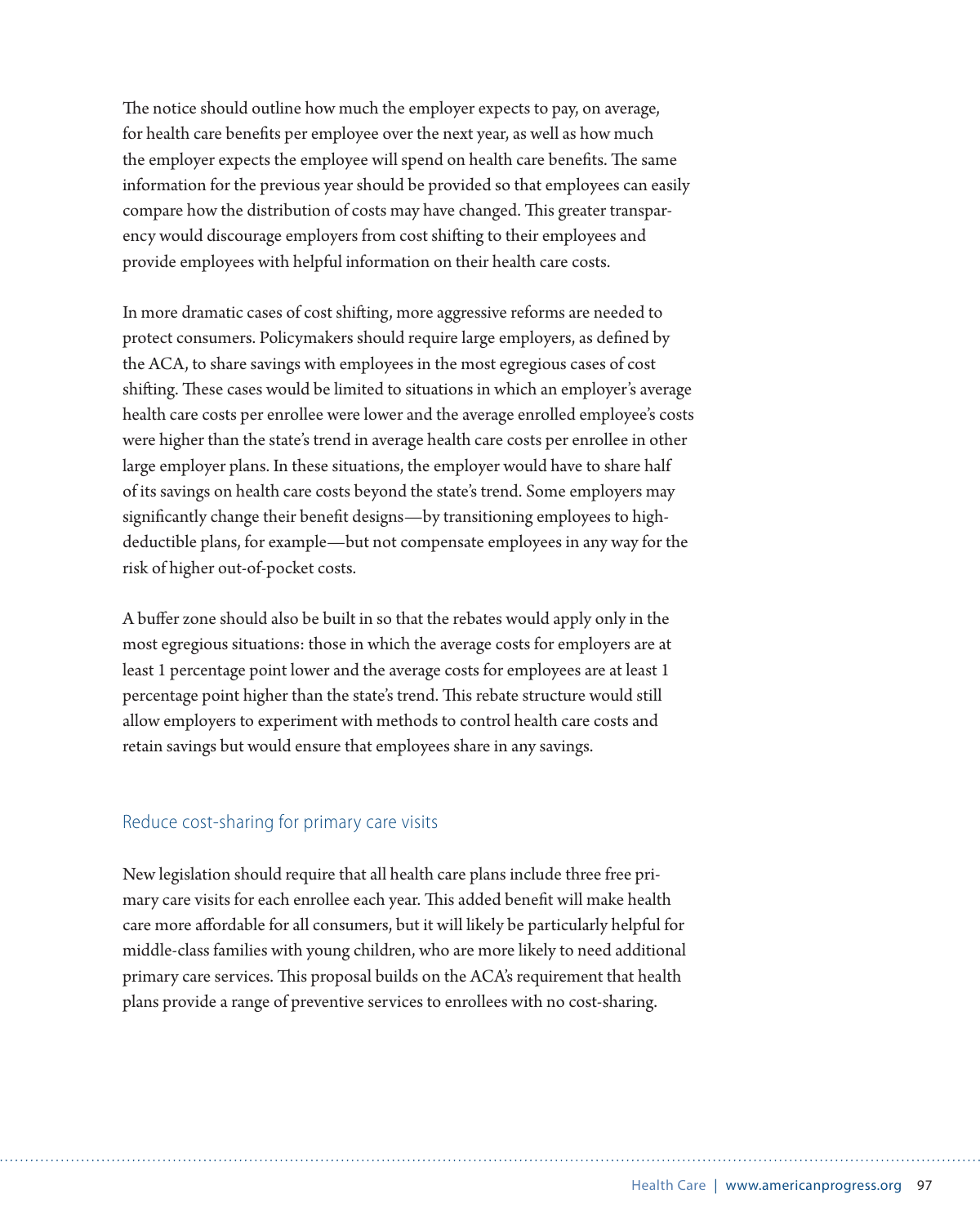The notice should outline how much the employer expects to pay, on average, for health care benefits per employee over the next year, as well as how much the employer expects the employee will spend on health care benefits. The same information for the previous year should be provided so that employees can easily compare how the distribution of costs may have changed. This greater transparency would discourage employers from cost shifting to their employees and provide employees with helpful information on their health care costs.

In more dramatic cases of cost shifting, more aggressive reforms are needed to protect consumers. Policymakers should require large employers, as defined by the ACA, to share savings with employees in the most egregious cases of cost shifting. These cases would be limited to situations in which an employer's average health care costs per enrollee were lower and the average enrolled employee's costs were higher than the state's trend in average health care costs per enrollee in other large employer plans. In these situations, the employer would have to share half of its savings on health care costs beyond the state's trend. Some employers may significantly change their benefit designs—by transitioning employees to highdeductible plans, for example—but not compensate employees in any way for the risk of higher out-of-pocket costs.

A buffer zone should also be built in so that the rebates would apply only in the most egregious situations: those in which the average costs for employers are at least 1 percentage point lower and the average costs for employees are at least 1 percentage point higher than the state's trend. This rebate structure would still allow employers to experiment with methods to control health care costs and retain savings but would ensure that employees share in any savings.

#### Reduce cost-sharing for primary care visits

New legislation should require that all health care plans include three free primary care visits for each enrollee each year. This added benefit will make health care more affordable for all consumers, but it will likely be particularly helpful for middle-class families with young children, who are more likely to need additional primary care services. This proposal builds on the ACA's requirement that health plans provide a range of preventive services to enrollees with no cost-sharing.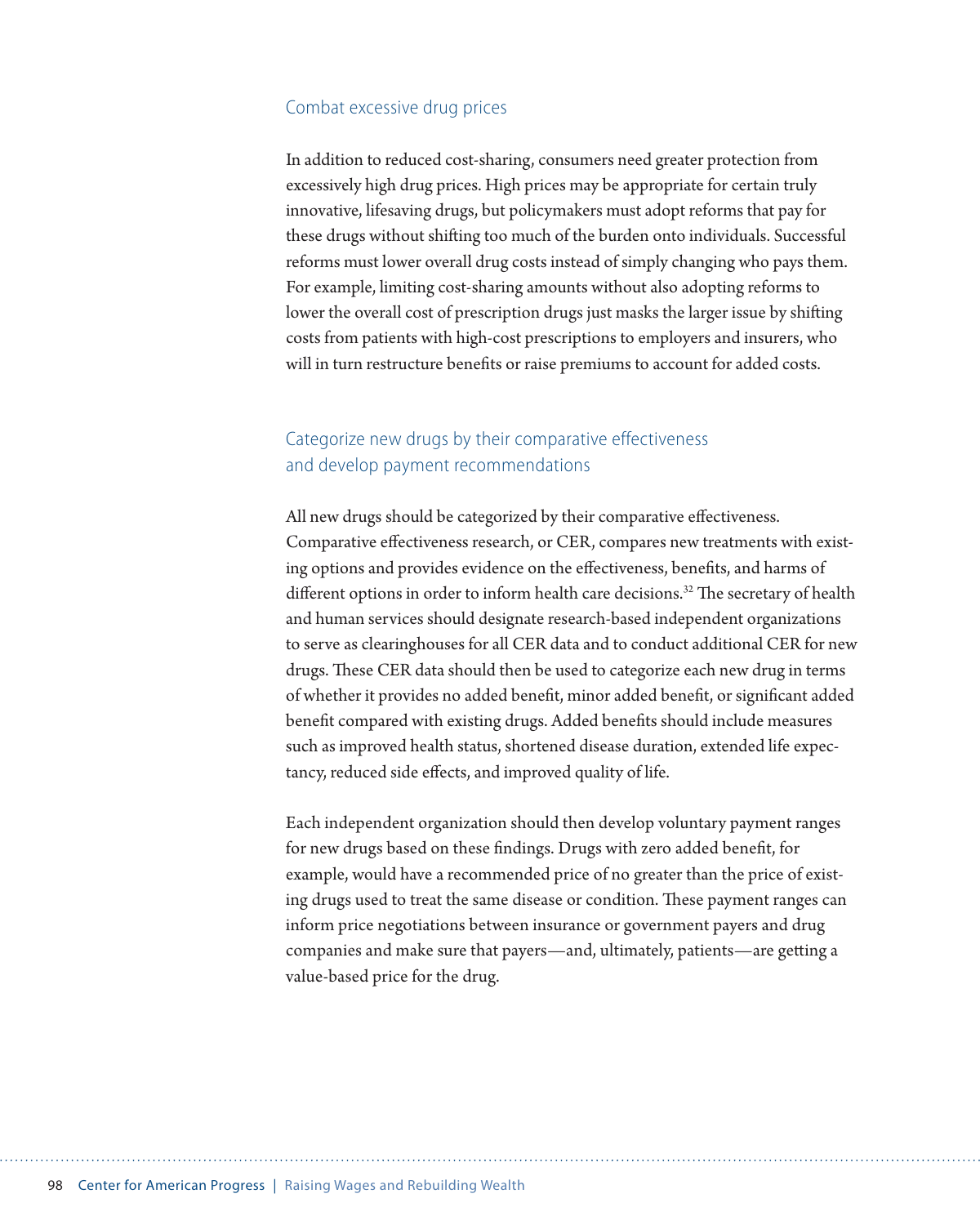#### Combat excessive drug prices

In addition to reduced cost-sharing, consumers need greater protection from excessively high drug prices. High prices may be appropriate for certain truly innovative, lifesaving drugs, but policymakers must adopt reforms that pay for these drugs without shifting too much of the burden onto individuals. Successful reforms must lower overall drug costs instead of simply changing who pays them. For example, limiting cost-sharing amounts without also adopting reforms to lower the overall cost of prescription drugs just masks the larger issue by shifting costs from patients with high-cost prescriptions to employers and insurers, who will in turn restructure benefits or raise premiums to account for added costs.

#### Categorize new drugs by their comparative effectiveness and develop payment recommendations

All new drugs should be categorized by their comparative effectiveness. Comparative effectiveness research, or CER, compares new treatments with existing options and provides evidence on the effectiveness, benefits, and harms of different options in order to inform health care decisions.<sup>32</sup> The secretary of health and human services should designate research-based independent organizations to serve as clearinghouses for all CER data and to conduct additional CER for new drugs. These CER data should then be used to categorize each new drug in terms of whether it provides no added benefit, minor added benefit, or significant added benefit compared with existing drugs. Added benefits should include measures such as improved health status, shortened disease duration, extended life expectancy, reduced side effects, and improved quality of life.

Each independent organization should then develop voluntary payment ranges for new drugs based on these findings. Drugs with zero added benefit, for example, would have a recommended price of no greater than the price of existing drugs used to treat the same disease or condition. These payment ranges can inform price negotiations between insurance or government payers and drug companies and make sure that payers—and, ultimately, patients—are getting a value-based price for the drug.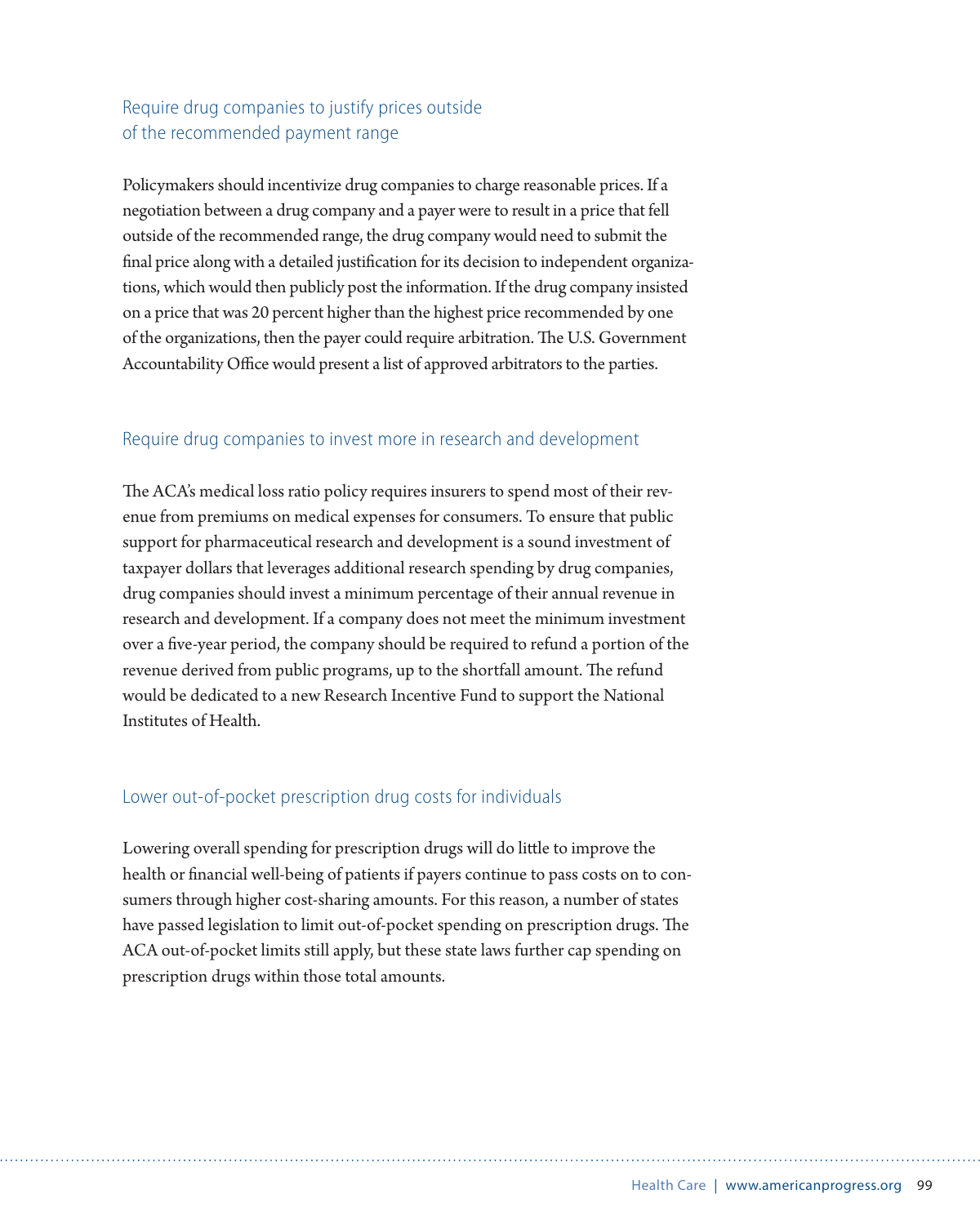#### Require drug companies to justify prices outside of the recommended payment range

Policymakers should incentivize drug companies to charge reasonable prices. If a negotiation between a drug company and a payer were to result in a price that fell outside of the recommended range, the drug company would need to submit the final price along with a detailed justification for its decision to independent organizations, which would then publicly post the information. If the drug company insisted on a price that was 20 percent higher than the highest price recommended by one of the organizations, then the payer could require arbitration. The U.S. Government Accountability Office would present a list of approved arbitrators to the parties.

#### Require drug companies to invest more in research and development

The ACA's medical loss ratio policy requires insurers to spend most of their revenue from premiums on medical expenses for consumers. To ensure that public support for pharmaceutical research and development is a sound investment of taxpayer dollars that leverages additional research spending by drug companies, drug companies should invest a minimum percentage of their annual revenue in research and development. If a company does not meet the minimum investment over a five-year period, the company should be required to refund a portion of the revenue derived from public programs, up to the shortfall amount. The refund would be dedicated to a new Research Incentive Fund to support the National Institutes of Health.

#### Lower out-of-pocket prescription drug costs for individuals

Lowering overall spending for prescription drugs will do little to improve the health or financial well-being of patients if payers continue to pass costs on to consumers through higher cost-sharing amounts. For this reason, a number of states have passed legislation to limit out-of-pocket spending on prescription drugs. The ACA out-of-pocket limits still apply, but these state laws further cap spending on prescription drugs within those total amounts.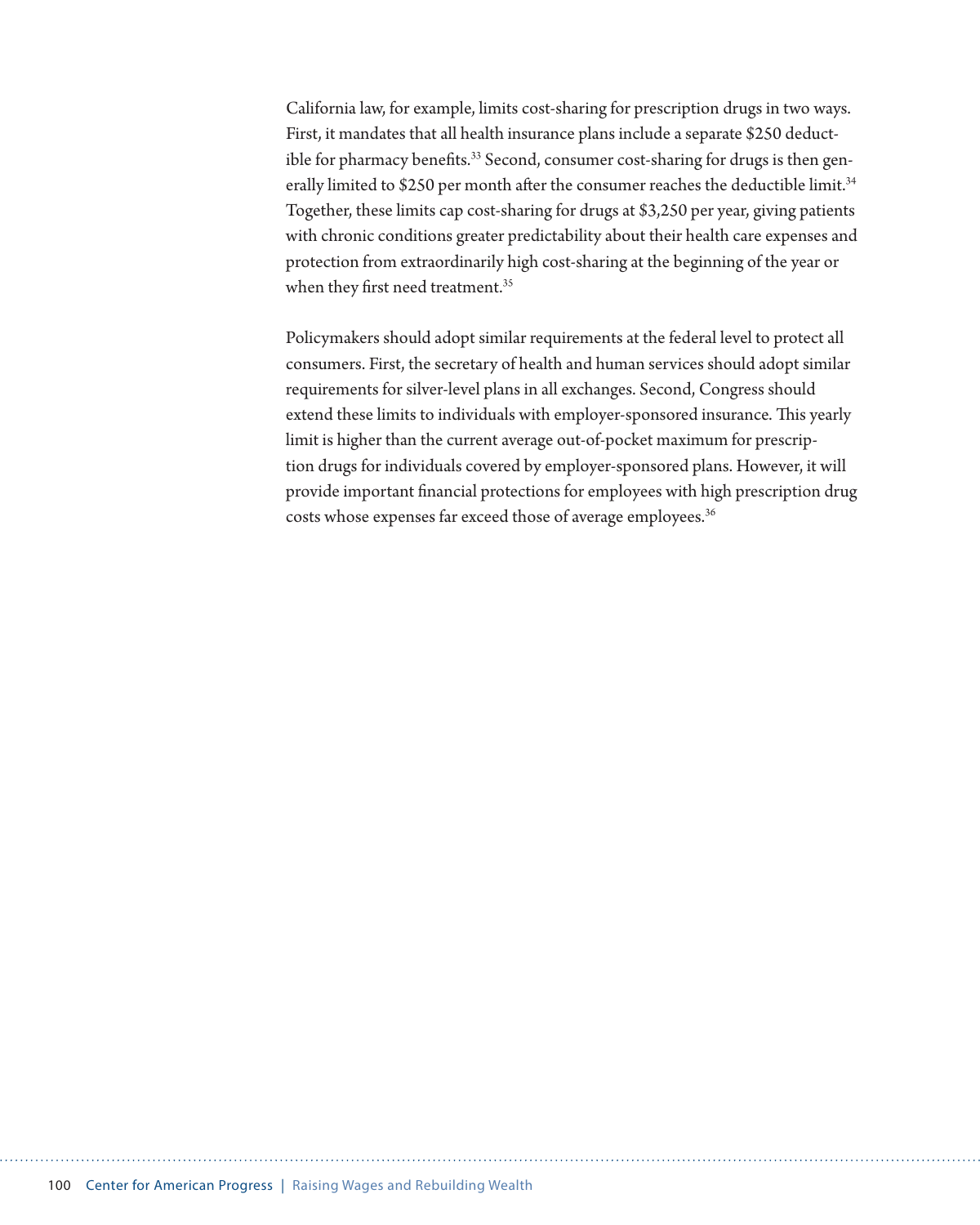California law, for example, limits cost-sharing for prescription drugs in two ways. First, it mandates that all health insurance plans include a separate \$250 deductible for pharmacy benefits.<sup>33</sup> Second, consumer cost-sharing for drugs is then generally limited to \$250 per month after the consumer reaches the deductible limit.<sup>34</sup> Together, these limits cap cost-sharing for drugs at \$3,250 per year, giving patients with chronic conditions greater predictability about their health care expenses and protection from extraordinarily high cost-sharing at the beginning of the year or when they first need treatment.<sup>35</sup>

Policymakers should adopt similar requirements at the federal level to protect all consumers. First, the secretary of health and human services should adopt similar requirements for silver-level plans in all exchanges. Second, Congress should extend these limits to individuals with employer-sponsored insurance. This yearly limit is higher than the current average out-of-pocket maximum for prescription drugs for individuals covered by employer-sponsored plans. However, it will provide important financial protections for employees with high prescription drug costs whose expenses far exceed those of average employees.<sup>36</sup>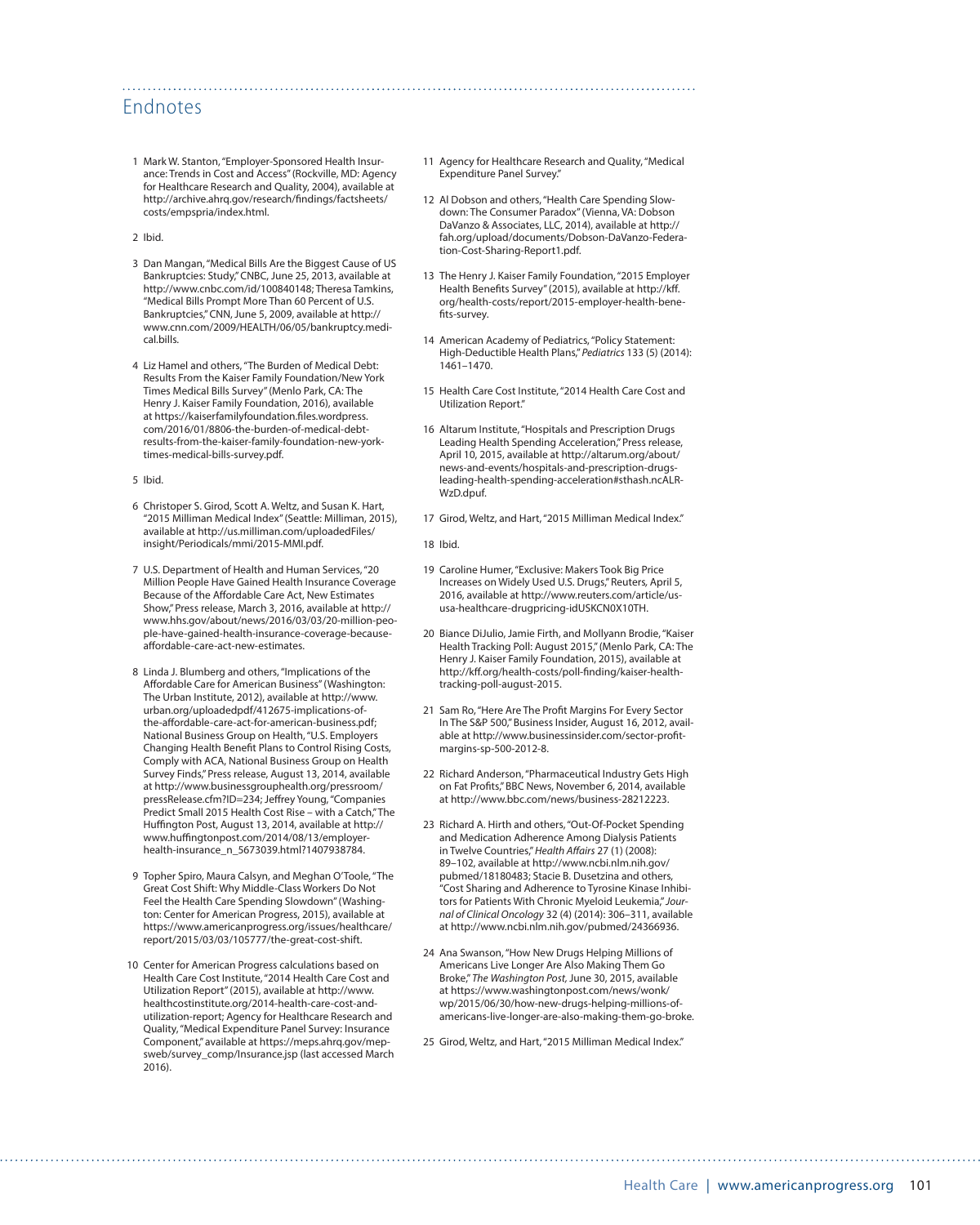#### Endnotes

1 Mark W. Stanton, "Employer-Sponsored Health Insurance: Trends in Cost and Access" (Rockville, MD: Agency for Healthcare Research and Quality, 2004), available at [http://archive.ahrq.gov/research/findings/factsheets/](http://archive.ahrq.gov/research/findings/factsheets/costs/empspria/index.html) [costs/empspria/index.html.](http://archive.ahrq.gov/research/findings/factsheets/costs/empspria/index.html)

#### 2 Ibid.

- 3 Dan Mangan, "Medical Bills Are the Biggest Cause of US Bankruptcies: Study," CNBC, June 25, 2013, available at <http://www.cnbc.com/id/100840148>; Theresa Tamkins, "Medical Bills Prompt More Than 60 Percent of U.S. Bankruptcies," CNN, June 5, 2009, available at [http://](http://www.cnn.com/2009/HEALTH/06/05/bankruptcy.medical.bills/) [www.cnn.com/2009/HEALTH/06/05/bankruptcy.medi](http://www.cnn.com/2009/HEALTH/06/05/bankruptcy.medical.bills/)[cal.bills.](http://www.cnn.com/2009/HEALTH/06/05/bankruptcy.medical.bills/)
- 4 Liz Hamel and others, "The Burden of Medical Debt: Results From the Kaiser Family Foundation/New York Times Medical Bills Survey" (Menlo Park, CA: The Henry J. Kaiser Family Foundation, 2016), available at [https://kaiserfamilyfoundation.files.wordpress.](https://kaiserfamilyfoundation.files.wordpress.com/2016/01/8806-the-burden-of-medical-debt-results-from-the-kaiser-family-foundation-new-york-times-medical-bills-survey.pdf) [com/2016/01/8806-the-burden-of-medical-debt](https://kaiserfamilyfoundation.files.wordpress.com/2016/01/8806-the-burden-of-medical-debt-results-from-the-kaiser-family-foundation-new-york-times-medical-bills-survey.pdf)[results-from-the-kaiser-family-foundation-new-york](https://kaiserfamilyfoundation.files.wordpress.com/2016/01/8806-the-burden-of-medical-debt-results-from-the-kaiser-family-foundation-new-york-times-medical-bills-survey.pdf)[times-medical-bills-survey.pdf](https://kaiserfamilyfoundation.files.wordpress.com/2016/01/8806-the-burden-of-medical-debt-results-from-the-kaiser-family-foundation-new-york-times-medical-bills-survey.pdf).
- 5 Ibid.
- 6 Christoper S. Girod, Scott A. Weltz, and Susan K. Hart, "2015 Milliman Medical Index" (Seattle: Milliman, 2015), available at [http://us.milliman.com/uploadedFiles/](http://us.milliman.com/uploadedFiles/insight/Periodicals/mmi/2015-MMI.pdf) [insight/Periodicals/mmi/2015-MMI.pdf.](http://us.milliman.com/uploadedFiles/insight/Periodicals/mmi/2015-MMI.pdf)
- 7 U.S. Department of Health and Human Services, "20 Million People Have Gained Health Insurance Coverage Because of the Affordable Care Act, New Estimates Show," Press release, March 3, 2016, available at [http://](http://www.hhs.gov/about/news/2016/03/03/20-million-people-have-gained-health-insurance-coverage-because-affordable-care-act-new-estimates) [www.hhs.gov/about/news/2016/03/03/20-million-peo](http://www.hhs.gov/about/news/2016/03/03/20-million-people-have-gained-health-insurance-coverage-because-affordable-care-act-new-estimates)[ple-have-gained-health-insurance-coverage-because](http://www.hhs.gov/about/news/2016/03/03/20-million-people-have-gained-health-insurance-coverage-because-affordable-care-act-new-estimates)[affordable-care-act-new-estimates.](http://www.hhs.gov/about/news/2016/03/03/20-million-people-have-gained-health-insurance-coverage-because-affordable-care-act-new-estimates)
- 8 Linda J. Blumberg and others, "Implications of the Affordable Care for American Business" (Washington: The Urban Institute, 2012), available at http://www. urban.org/uploadedpdf/412675-implications-ofthe-affordable-care-act-for-american-business.pdf; National Business Group on Health, "U.S. Employers Changing Health Benefit Plans to Control Rising Costs, Comply with ACA, National Business Group on Health Survey Finds," Press release, August 13, 2014, available at [http://www.businessgrouphealth.org/pressroom/](http://www.businessgrouphealth.org/pressroom/pressRelease.cfm?ID=234) [pressRelease.cfm?ID=234;](http://www.businessgrouphealth.org/pressroom/pressRelease.cfm?ID=234) Jeffrey Young, "Companies Predict Small 2015 Health Cost Rise – with a Catch," The Huffington Post, August 13, 2014, available at [http://](http://www.huffingtonpost.com/2014/08/13/employer-health-insurance_n_5673039.html?1407938784) [www.huffingtonpost.com/2014/08/13/employer](http://www.huffingtonpost.com/2014/08/13/employer-health-insurance_n_5673039.html?1407938784)[health-insurance\\_n\\_5673039.html?1407938784](http://www.huffingtonpost.com/2014/08/13/employer-health-insurance_n_5673039.html?1407938784).
- 9 Topher Spiro, Maura Calsyn, and Meghan O'Toole, "The Great Cost Shift: Why Middle-Class Workers Do Not Feel the Health Care Spending Slowdown" (Washington: Center for American Progress, 2015), available at [https://www.americanprogress.org/issues/healthcare/](https://www.americanprogress.org/issues/healthcare/report/2015/03/03/105777/the-great-cost-shift/) [report/2015/03/03/105777/the-great-cost-shift.](https://www.americanprogress.org/issues/healthcare/report/2015/03/03/105777/the-great-cost-shift/)
- 10 Center for American Progress calculations based on Health Care Cost Institute, "2014 Health Care Cost and Utilization Report" (2015), available at [http://www.](http://www.healthcostinstitute.org/2014-health-care-cost-and-utilization-report) [healthcostinstitute.org/2014-health-care-cost-and](http://www.healthcostinstitute.org/2014-health-care-cost-and-utilization-report)[utilization-report](http://www.healthcostinstitute.org/2014-health-care-cost-and-utilization-report); Agency for Healthcare Research and Quality, "Medical Expenditure Panel Survey: Insurance Component," available at [https://meps.ahrq.gov/mep](https://meps.ahrq.gov/mepsweb/survey_comp/Insurance.jsp)[sweb/survey\\_comp/Insurance.jsp](https://meps.ahrq.gov/mepsweb/survey_comp/Insurance.jsp) (last accessed March .<br>2016).

11 Agency for Healthcare Research and Quality, "Medical Expenditure Panel Survey."

- 12 Al Dobson and others, "Health Care Spending Slowdown: The Consumer Paradox" (Vienna, VA: Dobson DaVanzo & Associates, LLC, 2014), available at [http://](http://fah.org/upload/documents/Dobson-DaVanzo-Federation-Cost-Sharing-Report1.pdf) [fah.org/upload/documents/Dobson-DaVanzo-Federa](http://fah.org/upload/documents/Dobson-DaVanzo-Federation-Cost-Sharing-Report1.pdf)[tion-Cost-Sharing-Report1.pdf](http://fah.org/upload/documents/Dobson-DaVanzo-Federation-Cost-Sharing-Report1.pdf).
- 13 The Henry J. Kaiser Family Foundation, "2015 Employer Health Benefits Survey" (2015), available at [http://kff.](http://kff.org/health-costs/report/2015-employer-health-benefits-survey) [org/health-costs/report/2015-employer-health-bene](http://kff.org/health-costs/report/2015-employer-health-benefits-survey)[fits-survey](http://kff.org/health-costs/report/2015-employer-health-benefits-survey).
- 14 American Academy of Pediatrics, "Policy Statement: High-Deductible Health Plans," *Pediatrics* 133 (5) (2014): 1461–1470.
- 15 Health Care Cost Institute, "2014 Health Care Cost and Utilization Report."
- 16 Altarum Institute, "Hospitals and Prescription Drugs Leading Health Spending Acceleration," Press release, April 10, 2015, available at http://altarum.org/about/ news-and-events/hospitals-and-prescription-drugsleading-health-spending-acceleration#sthash.ncALR-WzD.dpuf.
- 17 Girod, Weltz, and Hart, "2015 Milliman Medical Index."
- 18 Ibid.
- 19 Caroline Humer, "Exclusive: Makers Took Big Price Increases on Widely Used U.S. Drugs," Reuters*,* April 5, 2016, available at [http://www.reuters.com/article/us](http://www.reuters.com/article/us-usa-healthcare-drugpricing-idUSKCN0X10TH)[usa-healthcare-drugpricing-idUSKCN0X10TH.](http://www.reuters.com/article/us-usa-healthcare-drugpricing-idUSKCN0X10TH)
- 20 Biance DiJulio, Jamie Firth, and Mollyann Brodie, "Kaiser Health Tracking Poll: August 2015," (Menlo Park, CA: The Henry J. Kaiser Family Foundation, 2015), available at [http://kff.org/health-costs/poll-finding/kaiser-health](http://kff.org/health-costs/poll-finding/kaiser-health-tracking-poll-august-2015)[tracking-poll-august-2015.](http://kff.org/health-costs/poll-finding/kaiser-health-tracking-poll-august-2015)
- 21 Sam Ro, "Here Are The Profit Margins For Every Sector In The S&P 500," Business Insider, August 16, 2012, available at [http://www.businessinsider.com/sector-profit](http://www.businessinsider.com/sector-profit-margins-sp-500-2012-8)[margins-sp-500-2012-8](http://www.businessinsider.com/sector-profit-margins-sp-500-2012-8).
- 22 Richard Anderson, "Pharmaceutical Industry Gets High on Fat Profits," BBC News, November 6, 2014, available at <http://www.bbc.com/news/business-28212223>.
- 23 Richard A. Hirth and others, "Out-Of-Pocket Spending and Medication Adherence Among Dialysis Patients in Twelve Countries," *Health Affairs* 27 (1) (2008): 89–102, available at [http://www.ncbi.nlm.nih.gov/](http://www.ncbi.nlm.nih.gov/pubmed/18180483) [pubmed/18180483](http://www.ncbi.nlm.nih.gov/pubmed/18180483); Stacie B. Dusetzina and others, "Cost Sharing and Adherence to Tyrosine Kinase Inhibitors for Patients With Chronic Myeloid Leukemia," *Journal of Clinical Oncology* 32 (4) (2014): 306–311, available at [http://www.ncbi.nlm.nih.gov/pubmed/24366936.](http://www.ncbi.nlm.nih.gov/pubmed/24366936)
- 24 Ana Swanson, "How New Drugs Helping Millions of Americans Live Longer Are Also Making Them Go Broke," *The Washington Post,* June 30, 2015, available at [https://www.washingtonpost.com/news/wonk/](https://www.washingtonpost.com/news/wonk/wp/2015/06/30/how-new-drugs-helping-millions-of-americans-live-longer-are-also-making-them-go-broke) [wp/2015/06/30/how-new-drugs-helping-millions-of](https://www.washingtonpost.com/news/wonk/wp/2015/06/30/how-new-drugs-helping-millions-of-americans-live-longer-are-also-making-them-go-broke)[americans-live-longer-are-also-making-them-go-broke.](https://www.washingtonpost.com/news/wonk/wp/2015/06/30/how-new-drugs-helping-millions-of-americans-live-longer-are-also-making-them-go-broke)
- 25 Girod, Weltz, and Hart, "2015 Milliman Medical Index."